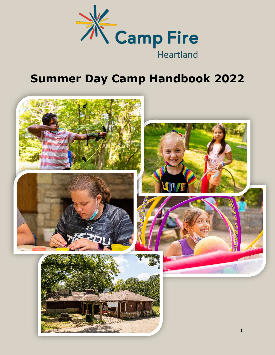

# **Summer Day Camp Handbook 2022**

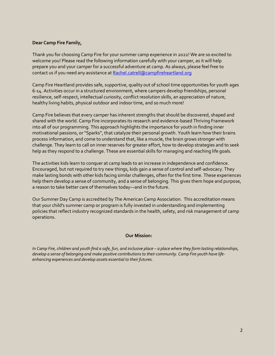#### **Dear Camp Fire Family,**

Thank you for choosing Camp Fire for your summer camp experience in 2022! We are so excited to welcome you! Please read the following information carefully with your camper, as it will help prepare you and your camper for a successful adventure at camp. As always, please feel free to contact us if you need any assistance at [Rachel.catrell@campfireheartland.org](mailto:Rachel.catrell@campfireheartland.org)

Camp Fire Heartland provides safe, supportive, quality out of school time opportunities for youth ages 6-14. Activities occur in a structured environment, where campers develop friendships, personal resilience, self-respect, intellectual curiosity, conflict resolution skills, an appreciation of nature, healthy living habits, physical outdoor and indoor time, and so much more!

Camp Fire believes that every camper has inherent strengths that should be discovered, shaped and shared with the world. Camp Fire incorporates its research and evidence-based Thriving Framework into all of our programming. This approach highlights the importance for youth in finding inner motivational passions, or "Sparks", that catalyze their personal growth. Youth learn how their brains process information, and come to understand that, like a muscle, the brain grows stronger with challenge. They learn to call on inner reserves for greater effort, how to develop strategies and to seek help as they respond to a challenge. These are essential skills for managing and reaching life goals.

The activities kids learn to conquer at camp leads to an increase in independence and confidence. Encouraged, but not required to try new things, kids gain a sense of control and self-advocacy. They make lasting bonds with other kids facing similar challenges, often for the first time. These experiences help them develop a sense of community, and a sense of belonging. This gives them hope and purpose, a reason to take better care of themselves today—and in the future.

Our Summer Day Camp is accredited by The American Camp Association. This accreditation means that your child's summer camp or program is fully invested in understanding and implementing policies that reflect industry recognized standards in the health, safety, and risk management of camp operations.

#### **Our Mission:**

*In Camp Fire, children and youth find a safe, fun, and inclusive place – a place where they form lasting relationships, develop a sense of belonging and make positive contributions to their community. Camp Fire youth have lifeenhancing experiences and develop assets essential to their futures.*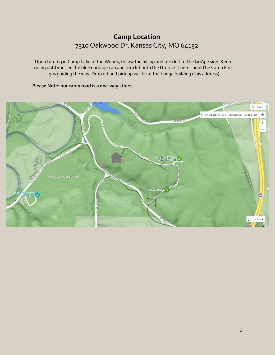# **Camp Location** 7310 Oakwood Dr. Kansas City, MO 64132

Upon turning in Camp Lake of the Woods, follow the hill up and turn left at the GoApe sign! Keep going until you see the blue garbage can and turn left into the U-drive. There should be Camp Fire signs guiding the way. Drop off and pick up will be at the Lodge building (this address).

#### **Please Note: our camp road is a one-way street**.

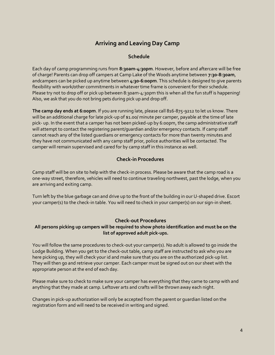# **Arriving and Leaving Day Camp**

#### **Schedule**

Each day of camp programming runs from **8:30am-4:30pm**. However, before and aftercare will be free of charge! Parents can drop off campers at Camp Lake of the Woods anytime between **7:30-8:30am**, andcampers can be picked up anytime between **4:30-6:00pm**. This schedule is designed to give parents flexibility with work/other commitments in whatever time frame is convenient for their schedule. Please try not to drop off or pick up between 8:30am-4:30pm this is when all the fun stuff is happening! Also, we ask that you do not bring pets during pick up and drop off.

**The camp day ends at 6:00pm**. If you are running late, please call 816-875-9212 to let us know. There will be an additional charge for late pick-up of \$1.00/ minute per camper, payable at the time of late pick- up. In the event that a camper has not been picked-up by 6:00pm, the camp administrative staff will attempt to contact the registering parent/guardian and/or emergency contacts. If camp staff cannot reach any of the listed guardians or emergency contacts for more than twenty minutes and they have not communicated with any camp staff prior, police authorities will be contacted. The camper will remain supervised and cared for by camp staff in this instance as well.

# **Check-in Procedures**

Camp staff will be on site to help with the check-in process. Please be aware that the camp road is a one-way street, therefore, vehicles will need to continue traveling northwest, past the lodge, when you are arriving and exiting camp.

Turn left by the blue garbage can and drive up to the front of the building in our U-shaped drive. Escort your camper(s) to the check-in table. You will need to check in your camper(s) on our sign-in sheet.

#### **Check-out Procedures**

#### **All persons picking up campers will be required to show photo identification and must be on the list of approved adult pick-ups.**

You will follow the same procedures to check-out your camper(s). No adult is allowed to go inside the Lodge Building. When you get to the check-out table, camp staff are instructed to ask who you are here picking up, they will check your id and make sure that you are on the authorized pick-up list. They will then go and retrieve your camper. Each camper must be signed out on our sheet with the appropriate person at the end of each day.

Please make sure to check to make sure your camper has everything that they came to camp with and anything that they made at camp. Leftover arts and crafts will be thrown away each night.

Changes in pick-up authorization will only be accepted from the parent or guardian listed on the registration form and will need to be received in writing and signed.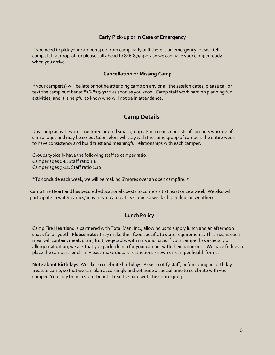### **Early Pick-up or In Case of Emergency**

If you need to pick your camper(s) up from camp early or if there is an emergency, please tell camp staff at drop-off or please call ahead to 816-875-9212 so we can have your camper ready when you arrive.

#### **Cancellation or Missing Camp**

If your camper(s) will be late or not be attending camp on any or all the session dates, please call or text the camp number at 816-875-9212 as soon as you know. Camp staff work hard on planning fun activities, and it is helpful to know who will not be in attendance.

## **Camp Details**

Day camp activities are structured around small groups. Each group consists of campers who are of similar ages and may be co-ed. Counselors will stay with the same group of campers the entire week to have consistency and build trust and meaningful relationships with each camper.

Groups typically have the following staff to camper ratio: Camper ages 6-8, Staff ratio 1:8 Camper ages 9-14, Staff ratio 1:10

\*To conclude each week, we will be making S'mores over an open campfire. \*

Camp Fire Heartland has secured educational guests to come visit at least once a week. We also will participate in water games/activities at camp at least once a week (depending on weather).

#### **Lunch Policy**

Camp Fire Heartland is partnered with Total Man, Inc., allowing us to supply lunch and an afternoon snack for all youth. **Please note:** They make their food specific to state requirements. This means each meal will contain: meat, grain, fruit, vegetable, with milk and juice. If your camper has a dietary or allergen situation, we ask that you pack a lunch for your camper with their name on it. We have fridges to place the campers lunch in. Please make dietary restrictions known on camper health forms.

**Note about Birthdays**: We like to celebrate birthdays! Please notify staff, before bringing birthday treatsto camp, so that we can plan accordingly and set aside a special time to celebrate with your camper. You may bring a store-bought treat to share with the entire group.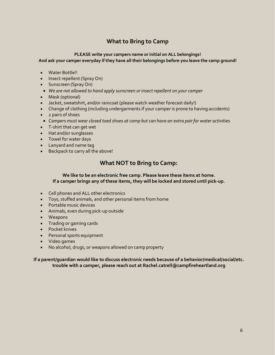# **What to Bring to Camp**

## **PLEASE write your campers name or initial on ALL belongings!**

**And ask your camper everyday if they have all their belongings before you leave the camp ground!**

- Water Bottle!!
- Insect repellent (Spray On)
- Sunscreen (Spray On)
- *We are not allowed to hand apply sunscreen or insect repellent on your camper*
- Mask (optional)
- Jacket, sweatshirt, and/or raincoat (please watch weather forecast daily!)
- Change of clothing (including undergarments if your camper is prone to having accidents)
- 2 pairs of shoes
- *Campers must wear closed toed shoes at camp but can have an extra pair for water activities*
- T-shirt that can get wet
- Hat and/or sunglasses
- Towel for water days
- Lanyard and name tag
- Backpack to carry all the above!

# **What NOT to Bring to Camp:**

#### **We like to be an electronic free camp. Please leave these items at home. If a camper brings any of these items, they will be locked and stored until pick-up.**

- Cell phones and ALL other electronics
- Toys, stuffed animals, and other personal items from home
- Portable music devices
- Animals, even during pick-up outside
- Weapons
- Trading or gaming cards
- Pocket knives
- Personal sports equipment
- Video games
- No alcohol, drugs, or weapons allowed on camp property

#### **If a parent/guardian would like to discuss electronic needs because of a behavior/medical/social/etc. trouble with a camper, please reach out at Rachel.catrell@campfireheartland.org**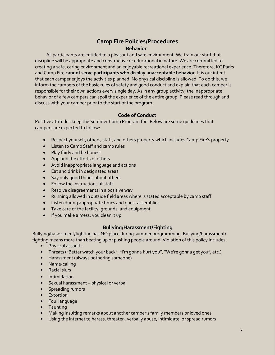# **Camp Fire Policies/Procedures Behavior**

All participants are entitled to a pleasant and safe environment. We train our staff that discipline will be appropriate and constructive or educational in nature. We are committed to creating a safe, caring environment and an enjoyable recreational experience. Therefore, KC Parks and Camp Fire **cannot serve participants who display unacceptable behavior**. It is our intent that each camper enjoys the activities planned. No physical discipline is allowed. To do this, we inform the campers of the basic rules of safety and good conduct and explain that each camper is responsible for their own actions every single day. As in any group activity, the inappropriate behavior of a few campers can spoil the experience of the entire group. Please read through and discuss with your camper prior to the start of the program.

## **Code of Conduct**

Positive attitudes keep the Summer Camp Program fun. Below are some guidelines that campers are expected to follow:

- Respect yourself, others, staff, and others property which includes Camp Fire's property
- Listen to Camp Staff and camp rules
- Play fairly and be honest
- Applaud the efforts of others
- Avoid inappropriate language and actions
- Eat and drink in designated areas
- Say only good things about others
- Follow the instructions of staff
- Resolve disagreements in a positive way
- Running allowed in outside field areas where is stated acceptable by camp staff
- Listen during appropriate times and guest assemblies
- Take care of the facility, grounds, and equipment
- If you make a mess, you clean it up

#### **Bullying/Harassment/Fighting**

Bullying/harassment/fighting has NO place during summer programming. Bullying/harassment/ fighting means more than beating up or pushing people around. Violation of this policy includes:

- Physical assaults
- Threats ("Better watch your back", "I'm gonna hurt you","We're gonna get you", etc.)
- Harassment (always bothering someone)
- Name-calling
- Racial slurs
- Intimidation
- Sexual harassment physical or verbal
- Spreading rumors
- Extortion
- Foul language
- Taunting
- Making insulting remarks about another camper's family members or loved ones
- Using the internet to harass, threaten, verbally abuse, intimidate, or spread rumors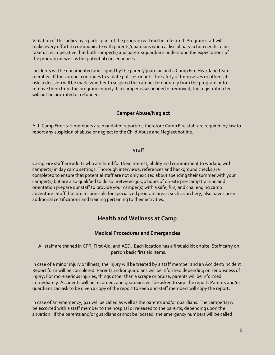Violation of this policy by a participant of the program will **not** be tolerated. Program staff will make every effort to communicate with parents/guardians when a disciplinary action needs to be taken. It is imperative that both camper(s) and parents/guardians understand the expectations of the program as well as the potential consequences.

Incidents will be documented and signed by the parent/guardian and a Camp Fire Heartland team member. If the camper continues to violate policies or puts the safety of themselves or others at risk, a decision will be made whether to suspend the camper temporarily from the program or to remove them from the program entirely. If a camper is suspended or removed, the registration fee will not be pro-rated or refunded.

#### **Camper Abuse/Neglect**

ALL Camp Fire staff members are mandated reporters; therefore Camp Fire staff are required by law to report any suspicion of abuse or neglect to the Child Abuse and Neglect hotline.

#### **Staff**

Camp Fire staff are adults who are hired for their interest, ability and commitment to working with camper(s) in day camp settings. Thorough interviews, references and background checks are completed to ensure that potential staff are not only excited about spending their summer with your camper(s) but are also qualified to do so. Between 30-40 hours of on-site pre-camp training and orientation prepare our staff to provide your camper(s) with a safe, fun, and challenging camp adventure. Staff that are responsible for specialized program areas, such as archery, also have current additional certifications and training pertaining to their activities.

# **Health and Wellness at Camp**

#### **Medical Procedures and Emergencies**

All staff are trained in CPR, First Aid, and AED. Each location has a first aid kit on site. Staff carry on person basic first aid items.

In case of a minor injury or illness, the injury will be treated by a staff member and an Accident/Incident Report form will be completed. Parents and/or guardians will be informed depending on seriousness of injury. For more serious injuries, things other than a scrape or bruise, parents will be informed immediately. Accidents will be recorded, and guardians will be asked to sign the report. Parents and/or guardians can ask to be given a copy of the report to keep and staff members will copy the report.

In case of an emergency, 911 will be called as well as the parents and/or guardians. The camper(s) will be escorted with a staff member to the hospital or released to the parents, depending upon the situation. If the parents and/or guardians cannot be located, the emergency numbers will be called.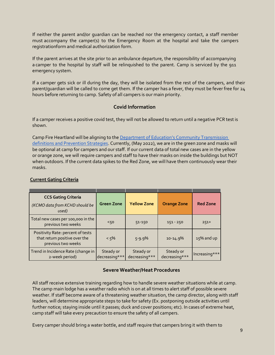If neither the parent and/or guardian can be reached nor the emergency contact, a staff member must accompany the camper(s) to the Emergency Room at the hospital and take the campers registrationform and medical authorization form.

If the parent arrives at the site prior to an ambulance departure, the responsibility of accompanying a camper to the hospital by staff will be relinquished to the parent. Camp is serviced by the 911 emergency system.

If a camper gets sick or ill during the day, they will be isolated from the rest of the campers, and their parent/guardian will be called to come get them. If the camper has a fever, they must be fever free for 24 hours before returning to camp. Safety of all campers is our main priority.

## **Covid Information**

If a camper receives a positive covid test, they will not be allowed to return until a negative PCR test is shown.

Camp Fire Heartland will be aligning to the Department of Education['s Community Transmission](https://www.cdc.gov/coronavirus/2019-ncov/community/schools-childcare/operation-strategy.html?CDC_AA_refVal=https%3A%2F%2Fwww.cdc.gov%2Fcoronavirus%2F2019-ncov%2Fcommunity%2Fschools-childcare%2Fschools.html#Table1)  [definitions and Prevention Strategies.](https://www.cdc.gov/coronavirus/2019-ncov/community/schools-childcare/operation-strategy.html?CDC_AA_refVal=https%3A%2F%2Fwww.cdc.gov%2Fcoronavirus%2F2019-ncov%2Fcommunity%2Fschools-childcare%2Fschools.html#Table1) Currently, (May 2022), we are in the green zone and masks will be optional at camp for campers and our staff. If our current data of total new cases are in the yellow or orange zone, we will require campers and staff to have their masks on inside the buildings but NOT when outdoors. If the current data spikes to the Red Zone, we will have them continuously wear their masks.

| Current Gating Criteria                                            |                   |                    |                    |                 |
|--------------------------------------------------------------------|-------------------|--------------------|--------------------|-----------------|
| <b>CCS Gating Criteria</b>                                         |                   |                    |                    |                 |
| (KCMO data from KCHD should be<br>used)                            | <b>Green Zone</b> | <b>Yellow Zone</b> | <b>Orange Zone</b> | <b>Red Zone</b> |
| Total new cases per 100,000 in the<br>previous two weeks           | 50<               | 51-150             | $151 - 250$        | $251+$          |
| Positivity Rate: percent of tests<br>that return positive over the | $< 5\%$           | $5 - 9.9\%$        | $10 - 14.9%$       | $15\%$ and up   |

Steady or decreasing\*\*\*

#### **Current Gating Criteria**

previous two weeks

Trend in Incidence Rate (change in 2-week period)

#### **Severe Weather/Heat Procedures**

Steady or decreasing\*\*\* Steady or

decreasing\*\*\* Increasing\*\*\*

All staff receive extensive training regarding how to handle severe weather situations while at camp. The camp main lodge has a weather radio which is on at all times to alert staff of possible severe weather. If staff become aware of a threatening weather situation, the camp director, along with staff leaders, will determine appropriate steps to take for safety (Ex. postponing outside activities until further notice; staying inside until it passes; duck and cover positions; etc). In cases of extreme heat, camp staff will take every precaution to ensure the safety of all campers.

Every camper should bring a water bottle, and staff require that campers bring it with them to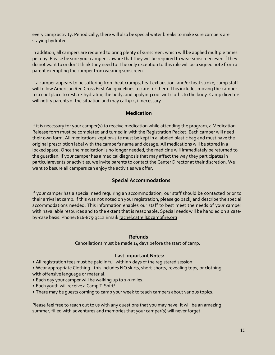every camp activity. Periodically, there will also be special water breaks to make sure campers are staying hydrated.

In addition, all campers are required to bring plenty of sunscreen, which will be applied multiple times per day. Please be sure your camper is aware that they will be required to wear sunscreen even if they do not want to or don't think they need to. The only exception to this rule will be a signed note from a parent exempting the camper from wearing sunscreen.

If a camper appears to be suffering from heat cramps, heat exhaustion, and/or heat stroke, camp staff will follow American Red Cross First Aid guidelines to care for them. This includes moving the camper to a cool place to rest, re-hydrating the body, and applying cool wet cloths to the body. Camp directors will notify parents of the situation and may call 911, if necessary.

#### **Medication**

If it is necessary for your camper(s) to receive medication while attending the program, a Medication Release form must be completed and turned in with the Registration Packet. Each camper will need their own form. All medications kept on-site must be kept in a labeled plastic bag and must have the original prescription label with the camper's name and dosage. All medications will be stored in a locked space. Once the medication is no longer needed, the medicine will immediately be returned to the guardian. If your camper has a medical diagnosis that may affect the way they participates in particularevents or activities, we invite parents to contact the Center Director at their discretion. We want to besure all campers can enjoy the activities we offer.

#### **Special Accommodations**

If your camper has a special need requiring an accommodation, our staff should be contacted prior to their arrival at camp. If this was not noted on your registration, please go back, and describe the special accommodations needed. This information enables our staff to best meet the needs of your camper withinavailable resources and to the extent that is reasonable. Special needs will be handled on a caseby-case basis. Phone: 816-875-9212 Email: [rachel.catrell@campfire.org](mailto:rachel.catrell@campfire.org)

#### **Refunds**

Cancellations must be made 14 days before the start of camp.

#### **Last Important Notes:**

• All registration fees must be paid in full within 7 days of the registered session.

• Wear appropriate Clothing - this includes NO skirts, short-shorts, revealing tops, or clothing with offensive language or material.

- Each day your camper will be walking up to 2-3 miles.
- Each youth will receive a Camp T-Shirt!
- There may be guests coming to camp your week to teach campers about various topics.

Please feel free to reach out to us with any questions that you may have! It will be an amazing summer, filled with adventures and memories that your camper(s) will never forget!